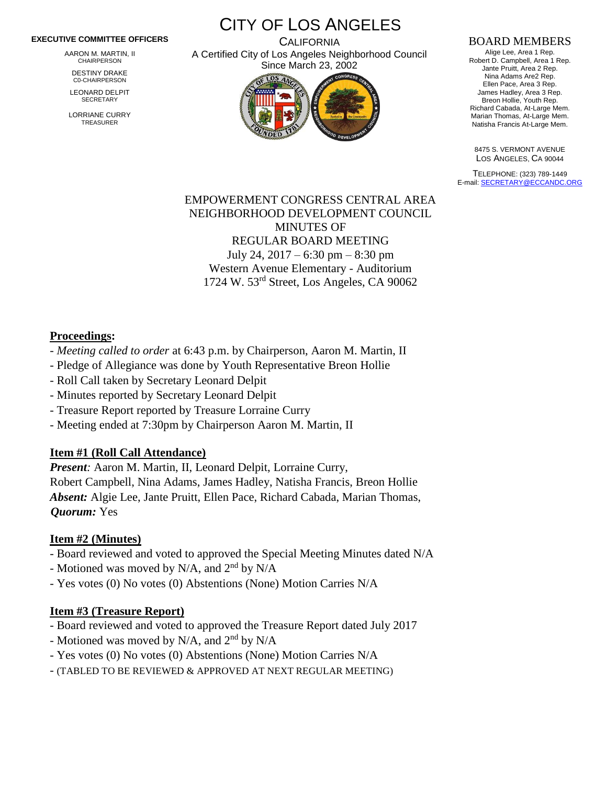#### **EXECUTIVE COMMITTEE OFFICERS**

AARON M. MARTIN, II CHAIRPERSON

DESTINY DRAKE C0-CHAIRPERSON

LEONARD DELPIT **SECRETARY** 

LORRIANE CURRY TREASURER

CITY OF LOS ANGELES

**CALIFORNIA** A Certified City of Los Angeles Neighborhood Council Since March 23, 2002



#### BOARD MEMBERS

Alige Lee, Area 1 Rep. Robert D. Campbell, Area 1 Rep. Jante Pruitt, Area 2 Rep. Nina Adams Are2 Rep. Ellen Pace, Area 3 Rep. James Hadley, Area 3 Rep. Breon Hollie, Youth Rep. Richard Cabada, At-Large Mem. Marian Thomas, At-Large Mem. Natisha Francis At-Large Mem.

8475 S. VERMONT AVENUE LOS ANGELES, CA 90044

TELEPHONE: (323) 789-1449 E-mail[: SECRETARY@ECCANDC.ORG](mailto:SECRETARY@ECCANDC.ORG)

EMPOWERMENT CONGRESS CENTRAL AREA NEIGHBORHOOD DEVELOPMENT COUNCIL MINUTES OF REGULAR BOARD MEETING July 24, 2017 – 6:30 pm – 8:30 pm Western Avenue Elementary - Auditorium 1724 W. 53rd Street, Los Angeles, CA 90062

#### **Proceedings:**

- *Meeting called to order* at 6:43 p.m. by Chairperson, Aaron M. Martin, II
- Pledge of Allegiance was done by Youth Representative Breon Hollie
- Roll Call taken by Secretary Leonard Delpit
- Minutes reported by Secretary Leonard Delpit
- Treasure Report reported by Treasure Lorraine Curry
- Meeting ended at 7:30pm by Chairperson Aaron M. Martin, II

## **Item #1 (Roll Call Attendance)**

*Present:* Aaron M. Martin, II, Leonard Delpit, Lorraine Curry, Robert Campbell, Nina Adams, James Hadley, Natisha Francis, Breon Hollie *Absent:* Algie Lee, Jante Pruitt, Ellen Pace, Richard Cabada, Marian Thomas, *Quorum:* Yes

### **Item #2 (Minutes)**

- Board reviewed and voted to approved the Special Meeting Minutes dated N/A
- Motioned was moved by N/A, and  $2<sup>nd</sup>$  by N/A
- Yes votes (0) No votes (0) Abstentions (None) Motion Carries N/A

### **Item #3 (Treasure Report)**

- Board reviewed and voted to approved the Treasure Report dated July 2017
- Motioned was moved by N/A, and  $2<sup>nd</sup>$  by N/A
- Yes votes (0) No votes (0) Abstentions (None) Motion Carries N/A
- (TABLED TO BE REVIEWED & APPROVED AT NEXT REGULAR MEETING)